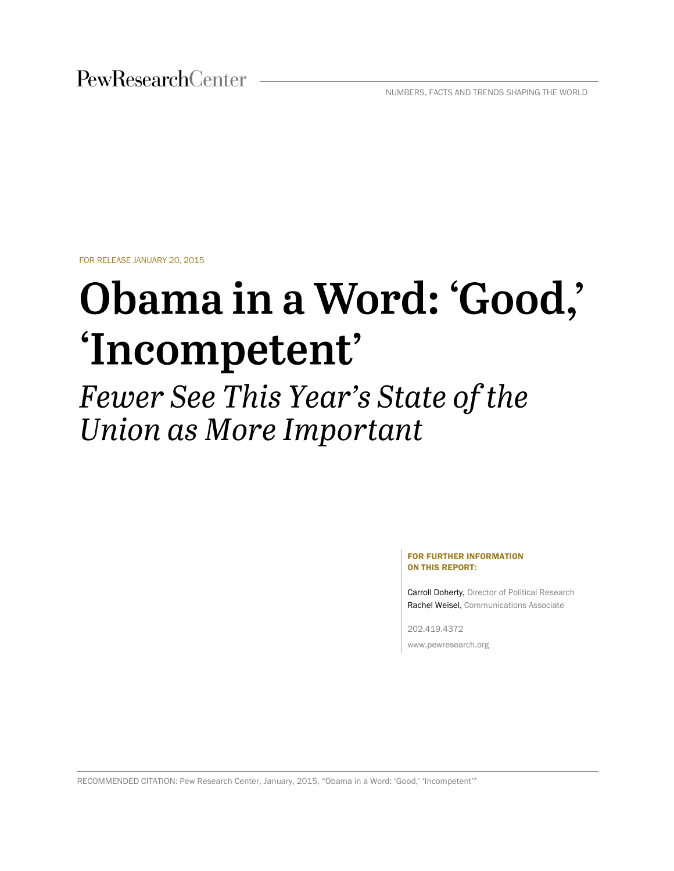NUMBERS, FACTS AND TRENDS SHAPING THE WORLD

FOR RELEASE JANUARY 20, 2015

# Obama in a Word: 'Good,' 'Incompetent'

Fewer See This Year's State of the Union as More Important

#### FOR FURTHER INFORMATION ON THIS REPORT:

Carroll Doherty, Director of Political Research Rachel Weisel, Communications Associate

202.419.4372 www.pewresearch.org

RECOMMENDED CITATION: Pew Research Center, January, 2015, "Obama in a Word: 'Good,' 'Incompetent'"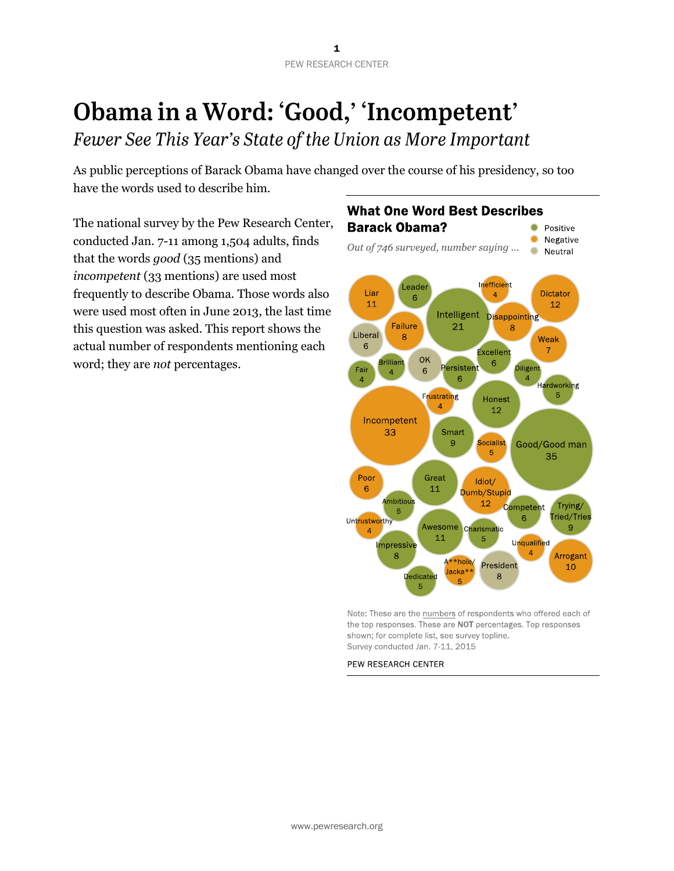## Obama in a Word: 'Good,' 'Incompetent'

Fewer See This Year's State of the Union as More Important

As public perceptions of Barack Obama have changed over the course of his presidency, so too have the words used to describe him.

The national survey by the Pew Research Center, conducted Jan. 7-11 among 1,504 adults, finds that the words *good* (35 mentions) and *incompetent* (33 mentions) are used most frequently to describe Obama. Those words also were used most often in June 2013, the last time this question was asked. This report shows the actual number of respondents mentioning each word; they are *not* percentages.

#### **What One Word Best Describes Barack Obama?** • Positive • Negative Out of 746 surveyed, number saying ...



Note: These are the numbers of respondents who offered each of the top responses. These are NOT percentages. Top responses shown; for complete list, see survey topline. Survey conducted Jan. 7-11, 2015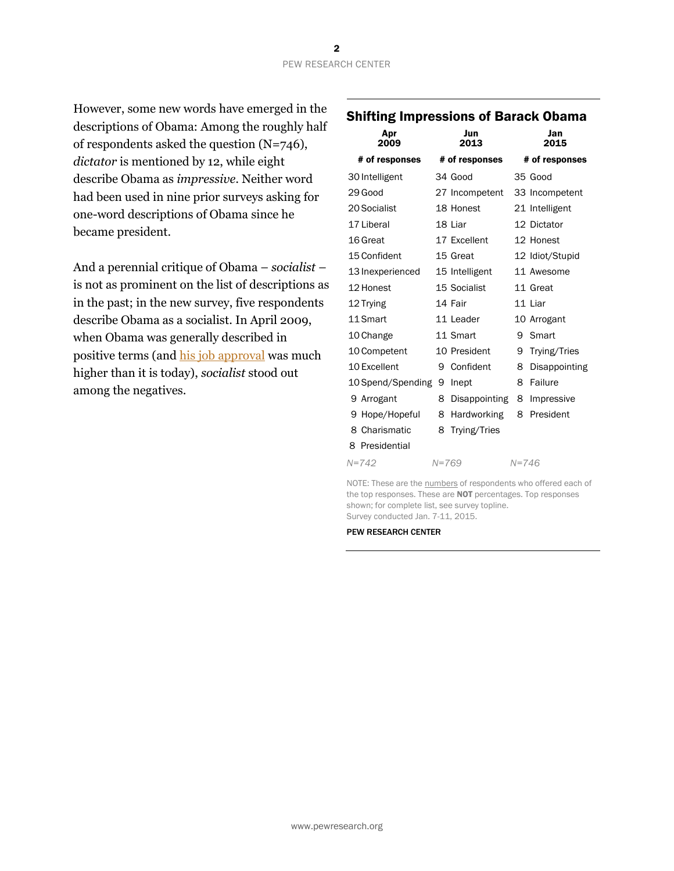However, some new words have emerged in the descriptions of Obama: Among the roughly half of respondents asked the question (N=746), *dictator* is mentioned by 12, while eight describe Obama as *impressive.* Neither word had been used in nine prior surveys asking for one-word descriptions of Obama since he became president.

And a perennial critique of Obama – *socialist* – is not as prominent on the list of descriptions as in the past; in the new survey, five respondents describe Obama as a socialist. In April 2009, when Obama was generally described in positive terms (and [his job approval](http://www.people-press.org/2015/01/14/section-1-views-of-obama-personal-traits-historical-legacy/) was much higher than it is today), *socialist* stood out among the negatives.

### Shifting Impressions of Barack Obama

| Apr<br>2009       |           | Jun<br>2013          |           | Jan<br>2015     |
|-------------------|-----------|----------------------|-----------|-----------------|
| # of responses    |           | # of responses       |           | # of responses  |
| 30 Intelligent    |           | 34 Good              |           | 35 Good         |
| 29 Good           |           | 27 Incompetent       |           | 33 Incompetent  |
| 20 Socialist      |           | 18 Honest            |           | 21 Intelligent  |
| 17 Liberal        |           | 18 Liar              |           | 12 Dictator     |
| 16 Great          |           | 17 Excellent         |           | 12 Honest       |
| 15 Confident      |           | 15 Great             |           | 12 Idiot/Stupid |
| 13 Inexperienced  |           | 15 Intelligent       |           | 11 Awesome      |
| 12 Honest         |           | 15 Socialist         |           | 11 Great        |
| 12 Trying         |           | 14 Fair              |           | 11 Liar         |
| 11 Smart          |           | 11 Leader            |           | 10 Arrogant     |
| 10 Change         |           | 11 Smart             | 9         | Smart           |
| 10 Competent      |           | 10 President         | 9         | Trying/Tries    |
| 10 Excellent      | 9         | Confident            | 8         | Disappointing   |
| 10 Spend/Spending | 9         | Inept                | 8         | Failure         |
| 9 Arrogant        | 8         | <b>Disappointing</b> | 8         | Impressive      |
| 9 Hope/Hopeful    | 8         | Hardworking          | 8         | President       |
| 8 Charismatic     | 8         | Trying/Tries         |           |                 |
| 8 Presidential    |           |                      |           |                 |
| $N = 742$         | $N = 769$ |                      | $N = 746$ |                 |

NOTE: These are the numbers of respondents who offered each of the top responses. These are **NOT** percentages. Top responses shown; for complete list, see survey topline. Survey conducted Jan. 7-11, 2015.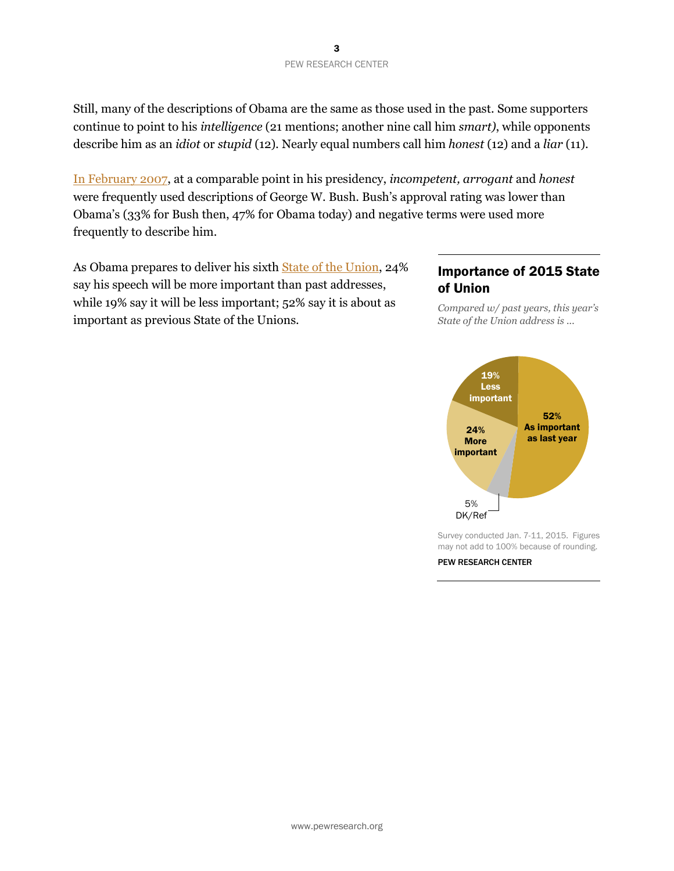Still, many of the descriptions of Obama are the same as those used in the past. Some supporters continue to point to his *intelligence* (21 mentions; another nine call him *smart)*, while opponents describe him as an *idiot* or *stupid* (12)*.* Nearly equal numbers call him *honest* (12) and a *liar* (11).

[In February 2007,](http://www.people-press.org/2007/02/15/war-support-slips-fewer-expect-a-successful-outcome/) at a comparable point in his presidency, *incompetent, arrogant* and *honest*  were frequently used descriptions of George W. Bush. Bush's approval rating was lower than Obama's (33% for Bush then, 47% for Obama today) and negative terms were used more frequently to describe him.

As Obama prepares to deliver his sixth [State of the Union,](http://www.pewresearch.org/fact-tank/2015/01/20/state-of-the-union-2015/) 24% say his speech will be more important than past addresses, while 19% say it will be less important; 52% say it is about as important as previous State of the Unions.

#### Importance of 2015 State of Union

*Compared w/ past years, this year's State of the Union address is ...*



Survey conducted Jan. 7-11, 2015. Figures may not add to 100% because of rounding.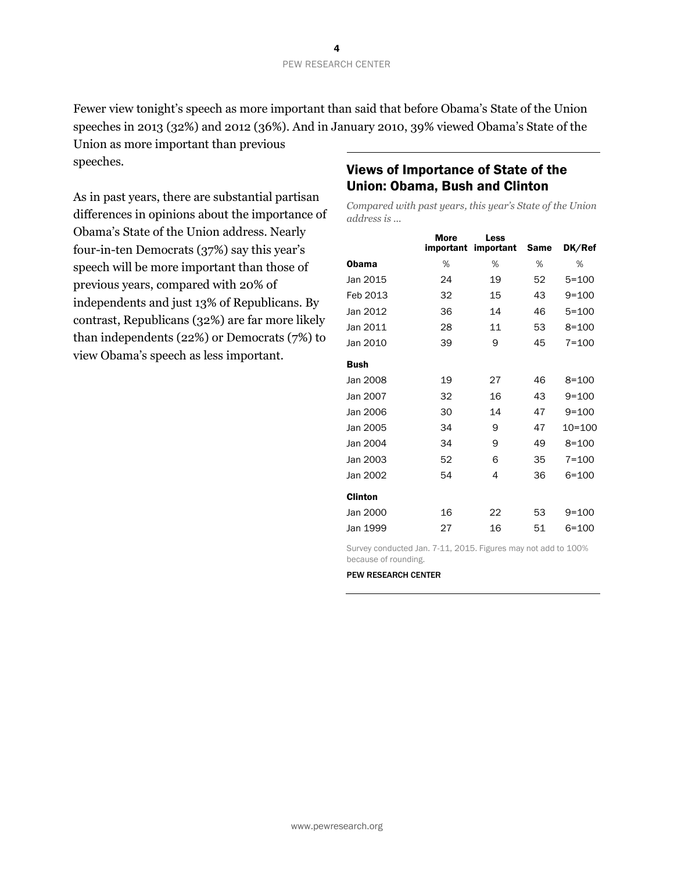Fewer view tonight's speech as more important than said that before Obama's State of the Union speeches in 2013 (32%) and 2012 (36%). And in January 2010, 39% viewed Obama's State of the

Union as more important than previous speeches.

As in past years, there are substantial partisan differences in opinions about the importance of Obama's State of the Union address. Nearly four-in-ten Democrats (37%) say this year's speech will be more important than those of previous years, compared with 20% of independents and just 13% of Republicans. By contrast, Republicans (32%) are far more likely than independents (22%) or Democrats (7%) to view Obama's speech as less important.

#### Views of Importance of State of the Union: Obama, Bush and Clinton

*Compared with past years, this year's State of the Union address is ...* 

|          | <b>More</b><br>important | Less<br>important | Same | DK/Ref     |
|----------|--------------------------|-------------------|------|------------|
| Obama    | %                        | %                 | %    | %          |
| Jan 2015 | 24                       | 19                | 52   | $5 = 100$  |
| Feb 2013 | 32                       | 15                | 43   | $9 = 100$  |
| Jan 2012 | 36                       | 14                | 46   | $5 = 100$  |
| Jan 2011 | 28                       | 11                | 53   | $8 = 100$  |
| Jan 2010 | 39                       | 9                 | 45   | $7 = 100$  |
| Bush     |                          |                   |      |            |
| Jan 2008 | 19                       | 27                | 46   | $8 = 100$  |
| Jan 2007 | 32                       | 16                | 43   | $9 = 100$  |
| Jan 2006 | 30                       | 14                | 47   | $9 = 100$  |
| Jan 2005 | 34                       | 9                 | 47   | $10 = 100$ |
| Jan 2004 | 34                       | 9                 | 49   | $8 = 100$  |
| Jan 2003 | 52                       | 6                 | 35   | $7 = 100$  |
| Jan 2002 | 54                       | 4                 | 36   | $6 = 100$  |
| Clinton  |                          |                   |      |            |
| Jan 2000 | 16                       | 22                | 53   | $9 = 100$  |
| Jan 1999 | 27                       | 16                | 51   | 6=100      |

Survey conducted Jan. 7-11, 2015. Figures may not add to 100% because of rounding.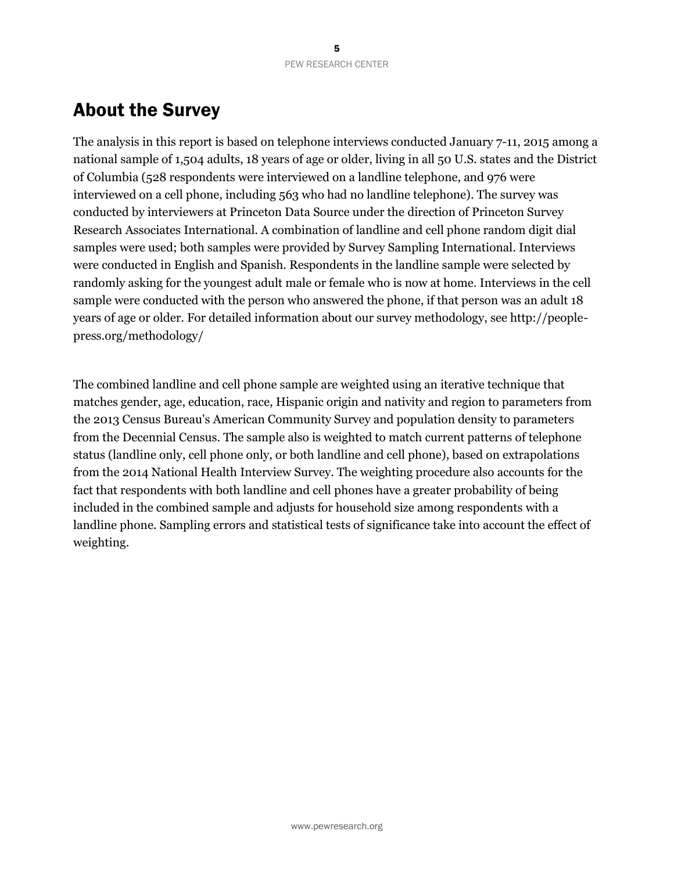## About the Survey

The analysis in this report is based on telephone interviews conducted January 7-11, 2015 among a national sample of 1,504 adults, 18 years of age or older, living in all 50 U.S. states and the District of Columbia (528 respondents were interviewed on a landline telephone, and 976 were interviewed on a cell phone, including 563 who had no landline telephone). The survey was conducted by interviewers at Princeton Data Source under the direction of Princeton Survey Research Associates International. A combination of landline and cell phone random digit dial samples were used; both samples were provided by Survey Sampling International. Interviews were conducted in English and Spanish. Respondents in the landline sample were selected by randomly asking for the youngest adult male or female who is now at home. Interviews in the cell sample were conducted with the person who answered the phone, if that person was an adult 18 years of age or older. For detailed information about our survey methodology, see http://peoplepress.org/methodology/

The combined landline and cell phone sample are weighted using an iterative technique that matches gender, age, education, race, Hispanic origin and nativity and region to parameters from the 2013 Census Bureau's American Community Survey and population density to parameters from the Decennial Census. The sample also is weighted to match current patterns of telephone status (landline only, cell phone only, or both landline and cell phone), based on extrapolations from the 2014 National Health Interview Survey. The weighting procedure also accounts for the fact that respondents with both landline and cell phones have a greater probability of being included in the combined sample and adjusts for household size among respondents with a landline phone. Sampling errors and statistical tests of significance take into account the effect of weighting.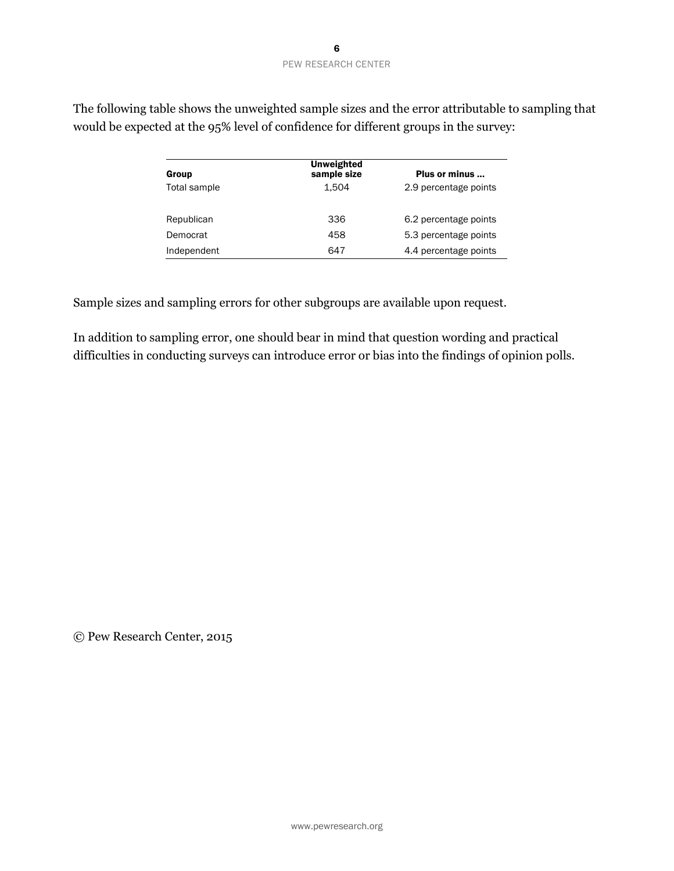| Group        | Unweighted<br>sample size | Plus or minus         |
|--------------|---------------------------|-----------------------|
| Total sample | 1.504                     | 2.9 percentage points |
| Republican   | 336                       | 6.2 percentage points |
| Democrat     | 458                       | 5.3 percentage points |
| Independent  | 647                       | 4.4 percentage points |

The following table shows the unweighted sample sizes and the error attributable to sampling that would be expected at the 95% level of confidence for different groups in the survey:

Sample sizes and sampling errors for other subgroups are available upon request.

In addition to sampling error, one should bear in mind that question wording and practical difficulties in conducting surveys can introduce error or bias into the findings of opinion polls.

© Pew Research Center, 2015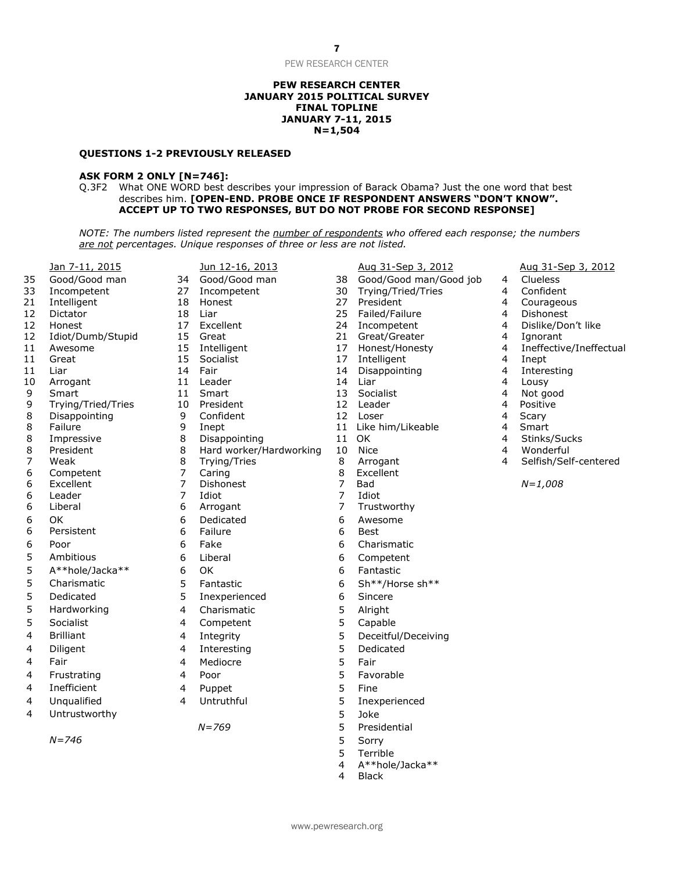#### **PEW RESEARCH CENTER JANUARY 2015 POLITICAL SURVEY FINAL TOPLINE JANUARY 7-11, 2015 N=1,504**

#### **QUESTIONS 1-2 PREVIOUSLY RELEASED**

#### **ASK FORM 2 ONLY [N=746]:**

Q.3F2 What ONE WORD best describes your impression of Barack Obama? Just the one word that best describes him. **[OPEN-END. PROBE ONCE IF RESPONDENT ANSWERS "DON'T KNOW". ACCEPT UP TO TWO RESPONSES, BUT DO NOT PROBE FOR SECOND RESPONSE]**

*NOTE: The numbers listed represent the number of respondents who offered each response; the numbers are not percentages. Unique responses of three or less are not listed.*

|                                       | Jan 7-11, 2015          |
|---------------------------------------|-------------------------|
| 35                                    | Good/Good man           |
| 33                                    | Incompetent             |
| $\overline{21}$                       | Intelligent             |
| 12                                    | Dictator                |
| 12                                    | Honest                  |
| 12                                    | Idiot/Dumb/Stupid       |
| 11                                    | Awesome                 |
| 11                                    | Great                   |
| $\overline{11}$                       | Liar                    |
| 10                                    | Arrogant                |
| 9                                     | Smart                   |
| 9                                     | Trying/Tried/Tries      |
| 8                                     | Disappointing           |
| 8<br>8                                | Failure                 |
|                                       | Impressive<br>President |
| $\begin{array}{c} 8 \\ 7 \end{array}$ | Weak                    |
| 6                                     | Competent               |
| 6                                     | Excellent               |
| 6                                     | Leader                  |
| 6                                     | Liberal                 |
| 6                                     | ΟK                      |
| 6                                     | Persistent              |
|                                       | Poor                    |
|                                       | Ambitious               |
| 6555555                               | A**hole/Jacka**         |
|                                       | Charismatic             |
|                                       |                         |
|                                       | Dedicated               |
|                                       | Hardworking             |
|                                       | Socialist               |
| $\overline{4}$                        | <b>Brilliant</b>        |
| 4                                     | Diligent                |
| 4                                     | Fair                    |
| 4                                     | Frustrating             |
| 4                                     | Inefficient             |
| 4                                     | Unqualified             |
|                                       |                         |

|                   |                     |                                  | are not percentages. Unique responses of three or less are not listed. |                |                        |
|-------------------|---------------------|----------------------------------|------------------------------------------------------------------------|----------------|------------------------|
|                   | Jan 7-11, 2015      |                                  | Jun 12-16, 2013                                                        |                | Aug 31-Sep 3, 2012     |
| 35                | Good/Good man       | 34                               | Good/Good man                                                          | 38             | Good/Good man/Go       |
| 33                | Incompetent         | 27                               | Incompetent                                                            | 30             | Trying/Tried/Tries     |
| $\overline{21}$   | Intelligent         | 18                               | Honest                                                                 | 27             | President              |
| 12                | Dictator            | 18                               | Liar                                                                   | 25             | Failed/Failure         |
| $12 \overline{ }$ | Honest              | 17                               | Excellent                                                              | 24             | Incompetent            |
| 12                | Idiot/Dumb/Stupid   | 15                               | Great                                                                  | 21             | Great/Greater          |
| 11                | Awesome             | 15                               | Intelligent                                                            | 17             | Honest/Honesty         |
| 11                | Great               | 15                               | Socialist                                                              | 17             | Intelligent            |
| 11                | Liar                | 14                               | Fair                                                                   | 14             | Disappointing          |
| 10                | Arrogant            | 11                               | Leader                                                                 | 14             | Liar                   |
| 9                 | Smart               | 11                               | Smart                                                                  | 13             | Socialist              |
| 9                 | Trying/Tried/Tries  | 10                               | President                                                              | 12             | Leader                 |
| 8                 | Disappointing       | 9                                | Confident                                                              | 12             | Loser                  |
| 8                 | Failure             | 9                                | Inept                                                                  | 11             | Like him/Likeable      |
| 8                 | Impressive          | 8                                | Disappointing                                                          | 11             | OK.                    |
| 8                 | President           | 8                                | Hard worker/Hardworking                                                | 10             | Nice                   |
| 7                 | Weak                | 8                                | Trying/Tries                                                           | 8              | Arrogant               |
| 6                 | Competent           | $\overline{7}$<br>$\overline{7}$ | Caring                                                                 | 8              | Excellent              |
| 6<br>6            | Excellent<br>Leader | $\overline{7}$                   | Dishonest<br>Idiot                                                     | 7<br>7         | <b>Bad</b><br>Idiot    |
| 6                 | Liberal             | 6                                |                                                                        | $\overline{7}$ | Trustworthy            |
|                   |                     |                                  | Arrogant                                                               |                |                        |
| 6                 | OK                  | 6<br>6                           | Dedicated<br>Failure                                                   | 6<br>6         | Awesome<br><b>Best</b> |
| 6                 | Persistent          |                                  |                                                                        |                |                        |
| 6                 | Poor                | 6                                | Fake                                                                   | 6              | Charismatic            |
| 5                 | Ambitious           | 6                                | Liberal                                                                | 6              | Competent              |
| 5                 | A**hole/Jacka**     | 6                                | OK                                                                     | 6              | Fantastic              |
| 5                 | Charismatic         | 5                                | Fantastic                                                              | 6              | Sh**/Horse sh**        |
| 5                 | Dedicated           | 5                                | Inexperienced                                                          | 6              | Sincere                |
| 5                 | Hardworking         | 4                                | Charismatic                                                            | 5              | Alright                |
| 5                 | Socialist           | 4                                | Competent                                                              | 5              | Capable                |
| 4                 | <b>Brilliant</b>    | 4                                | Integrity                                                              | 5              | Deceitful/Deceiving    |
| 4                 | Diligent            | 4                                | Interesting                                                            | 5              | Dedicated              |
| 4                 | Fair                | 4                                | Mediocre                                                               | 5              | Fair                   |
| 4                 | Frustrating         | $\overline{4}$                   | Poor                                                                   | 5              | Favorable              |
| 4                 | Inefficient         | $\overline{\mathbf{4}}$          | Puppet                                                                 | 5              | Fine                   |
| 4                 | Unqualified         | 4                                | Untruthful                                                             | 5              | Inexperienced          |
| 4                 | Untrustworthy       |                                  |                                                                        | 5              | Joke                   |
|                   |                     |                                  | $N = 769$                                                              | 5              | Presidential           |
|                   | $N = 746$           |                                  |                                                                        | 5              | Sorry                  |
|                   |                     |                                  |                                                                        |                |                        |

Aug 31-Sep 3, 2012 Aug 31-Sep 3, 2012 34 Good/Good man 38 Good/Good man/Good job 4 Clueless<br>27 Incompetent 30 Trving/Tried/Tries 4 Confident Trying/Tried/Tries 4 21 Intelligent 18 Honest 27 President 4 Courageous 18 Liar 18 Dishonest 25 Failed/Failure 18 A Dishonest 17 Excellent 24 Incompetent 4 Dislike/Don't like 15 Great 15 Creat/Greater 21 Great/Greater 15 Australian 4 Ignorant 15 Intelligent 17 Honest/Honesty 14 Ineffective/Ineffectual 11 Great 15 Socialist 17 Intelligent 4 Inept 14 Fair 14 Disappointing 14 Theresting 10 Arrogant 11 Leader 14 Liar 14 Liar 14 Lousy 9 Smart 11 Smart 13 Socialist 4 Not good 9 Trying/Tried/Tries 10 President 12 Leader 4 Positive 8 Disappointing 5 9 Confident 5 12 Loser 5 12 Hoster 4 Scary 9 Inept 11 Like him/Likeable 4 Smart 8 Impressive 8 Disappointing 11 OK 4 Stinks/Sucks 8 President 8 Hard worker/Hardworking 10 Nice 4 Wonderful 8 Trying/Tries 8 Arrogant 4 Selfish/Self-centered 6 Excellent 7 Dishonest 7 Bad *N=1,008* Presidential

- 
- 
- 5 Terrible
- 4 A\*\*hole/Jacka\*\*
- **Black**

- 
- 
- 
- 
-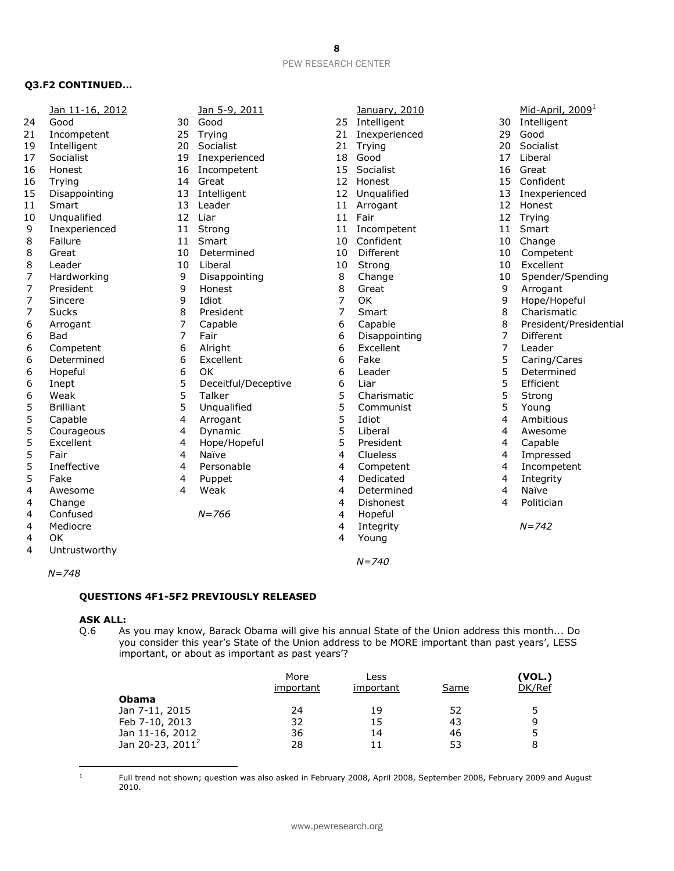#### **Q3.F2 CONTINUED…**

|    | Jan 11-16, 2012  |    | Jan 5-9, 2011       |    | January, 2010  |             | Mid-April, 2009 <sup>1</sup> |
|----|------------------|----|---------------------|----|----------------|-------------|------------------------------|
| 24 | Good             | 30 | Good                | 25 | Intelligent    | 30          | Intelligent                  |
| 21 | Incompetent      | 25 | Trying              | 21 | Inexperienced  | 29          | Good                         |
| 19 | Intelligent      | 20 | Socialist           | 21 | Trying         | 20          | Socialist                    |
| 17 | Socialist        | 19 | Inexperienced       | 18 | Good           | 17          | Liberal                      |
| 16 | Honest           | 16 | Incompetent         | 15 | Socialist      | 16          | Great                        |
| 16 | Trying           | 14 | Great               | 12 | Honest         | 15          | Confident                    |
| 15 | Disappointing    | 13 | Intelligent         |    | 12 Unqualified | 13          | Inexperienced                |
| 11 | Smart            | 13 | Leader              | 11 | Arrogant       | 12          | Honest                       |
| 10 | Unqualified      | 12 | Liar                | 11 | Fair           | 12          | Trying                       |
| 9  | Inexperienced    | 11 | Strong              | 11 | Incompetent    | 11          | Smart                        |
| 8  | Failure          | 11 | Smart               | 10 | Confident      | 10          | Change                       |
| 8  | Great            | 10 | Determined          | 10 | Different      | 10          | Competent                    |
| 8  | Leader           | 10 | Liberal             | 10 | Strong         | 10          | Excellent                    |
| 7  | Hardworking      | 9  | Disappointing       | 8  | Change         | 10          | Spender/Spending             |
| 7  | President        | 9  | Honest              | 8  | Great          | 9           | Arrogant                     |
| 7  | Sincere          | 9  | Idiot               | 7  | OK             | $\mathsf 9$ | Hope/Hopeful                 |
| 7  | <b>Sucks</b>     | 8  | President           | 7  | Smart          | 8           | Charismatic                  |
| 6  | Arrogant         | 7  | Capable             | 6  | Capable        | 8           | President/Presidential       |
| 6  | <b>Bad</b>       | 7  | Fair                | 6  | Disappointing  | 7           | Different                    |
| 6  | Competent        | 6  | Alright             | 6  | Excellent      | 7           | Leader                       |
| 6  | Determined       | 6  | Excellent           | 6  | Fake           | 5           | Caring/Cares                 |
| 6  | Hopeful          | 6  | <b>OK</b>           | 6  | Leader         | 5           | Determined                   |
| 6  | Inept            | 5  | Deceitful/Deceptive | 6  | Liar           | 5           | Efficient                    |
| 6  | Weak             | 5  | Talker              | 5  | Charismatic    | 5           | Strong                       |
| 5  | <b>Brilliant</b> | 5  | Unqualified         | 5  | Communist      | 5           | Young                        |
| 5  | Capable          | 4  | Arrogant            | 5  | Idiot          | 4           | Ambitious                    |
| 5  | Courageous       | 4  | Dynamic             | 5  | Liberal        | 4           | Awesome                      |
| 5  | Excellent        | 4  | Hope/Hopeful        | 5  | President      | 4           | Capable                      |
| 5  | Fair             | 4  | Naïve               | 4  | Clueless       | 4           | Impressed                    |
| 5  | Ineffective      | 4  | Personable          | 4  | Competent      | 4           | Incompetent                  |
| 5  | Fake             | 4  | Puppet              | 4  | Dedicated      | 4           | Integrity                    |
| 4  | Awesome          | 4  | Weak                | 4  | Determined     | 4           | Naïve                        |
| 4  | Change           |    |                     | 4  | Dishonest      | 4           | Politician                   |
| 4  | Confused         |    | $N = 766$           | 4  | Hopeful        |             |                              |
| 4  | Mediocre         |    |                     | 4  | Integrity      |             | $N = 742$                    |
| 4  | OK               |    |                     | 4  | Young          |             |                              |
| 4  | Untrustworthy    |    |                     |    |                |             |                              |
|    |                  |    |                     |    | $N = 740$      |             |                              |

*N=748*

#### **QUESTIONS 4F1-5F2 PREVIOUSLY RELEASED**

## **ASK ALL:**<br>Q.6 As

As you may know, Barack Obama will give his annual State of the Union address this month... Do you consider this year's State of the Union address to be MORE important than past years', LESS important, or about as important as past years'?

|                              | More<br>important | Less<br>important | Same | (VOL.)<br>DK/Ref |
|------------------------------|-------------------|-------------------|------|------------------|
| <b>Obama</b>                 |                   |                   |      |                  |
| Jan 7-11, 2015               | 24                | 19                | 52   | 5                |
| Feb 7-10, 2013               | 32                | 15                | 43   | q                |
| Jan 11-16, 2012              | 36                | 14                | 46   |                  |
| Jan 20-23, 2011 <sup>2</sup> | 28                | 11                | 53   | 8                |

 Full trend not shown; question was also asked in February 2008, April 2008, September 2008, February 2009 and August 2010.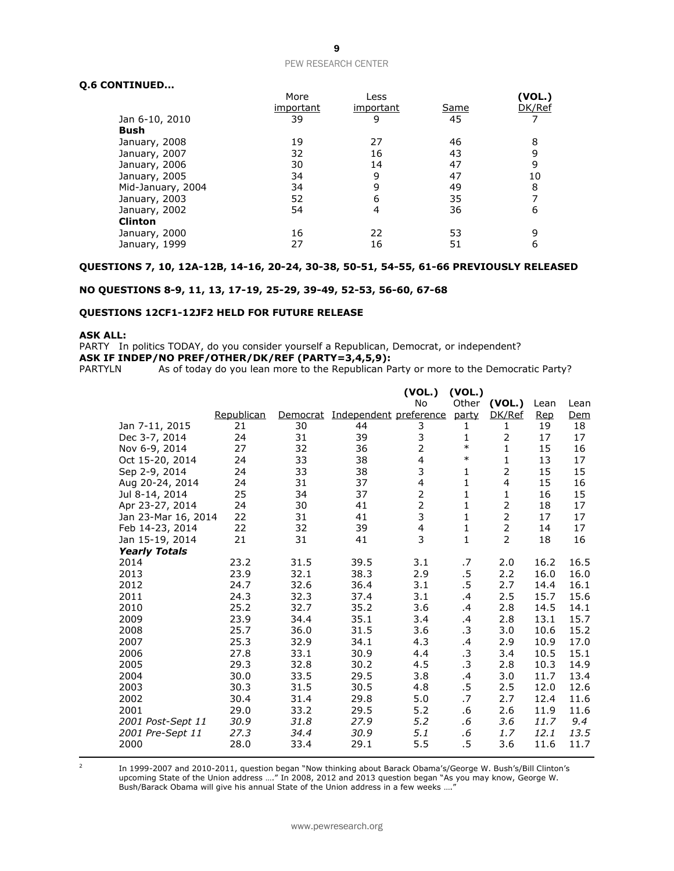#### **Q.6 CONTINUED...**

|                   | More      | Less      |             | (VOL.) |
|-------------------|-----------|-----------|-------------|--------|
|                   | important | important | <u>Same</u> | DK/Ref |
| Jan 6-10, 2010    | 39        | 9         | 45          |        |
| Bush              |           |           |             |        |
| January, 2008     | 19        | 27        | 46          | 8      |
| January, 2007     | 32        | 16        | 43          |        |
| January, 2006     | 30        | 14        | 47          | 9      |
| January, 2005     | 34        | 9         | 47          | 10     |
| Mid-January, 2004 | 34        | 9         | 49          | 8      |
| January, 2003     | 52        | 6         | 35          |        |
| January, 2002     | 54        | 4         | 36          | 6      |
| <b>Clinton</b>    |           |           |             |        |
| January, 2000     | 16        | 22        | 53          |        |
| January, 1999     | 27        | 16        | 51          | 6      |

#### **QUESTIONS 7, 10, 12A-12B, 14-16, 20-24, 30-38, 50-51, 54-55, 61-66 PREVIOUSLY RELEASED**

#### **NO QUESTIONS 8-9, 11, 13, 17-19, 25-29, 39-49, 52-53, 56-60, 67-68**

#### **QUESTIONS 12CF1-12JF2 HELD FOR FUTURE RELEASE**

#### **ASK ALL:**

PARTY In politics TODAY, do you consider yourself a Republican, Democrat, or independent?

**ASK IF INDEP/NO PREF/OTHER/DK/REF (PARTY=3,4,5,9):**<br>PARTYLN As of today do you lean more to the Republican Pa

As of today do you lean more to the Republican Party or more to the Democratic Party?

|                      |            |          |                        | (VOL.)                  | (VOL.)       |                |      |      |
|----------------------|------------|----------|------------------------|-------------------------|--------------|----------------|------|------|
|                      |            |          |                        | <b>No</b>               | Other        | (VOL.)         | Lean | Lean |
|                      | Republican | Democrat | Independent preference |                         | party        | DK/Ref         | Rep  | Dem  |
| Jan 7-11, 2015       | 21         | 30       | 44                     | 3                       | 1            | 1              | 19   | 18   |
| Dec 3-7, 2014        | 24         | 31       | 39                     | 3                       | 1            | 2              | 17   | 17   |
| Nov 6-9, 2014        | 27         | 32       | 36                     | $\overline{2}$          | $\ast$       | $\mathbf{1}$   | 15   | 16   |
| Oct 15-20, 2014      | 24         | 33       | 38                     | $\overline{\mathbf{4}}$ | $\ast$       | $\mathbf{1}$   | 13   | 17   |
| Sep 2-9, 2014        | 24         | 33       | 38                     | 3                       | 1            | $\overline{2}$ | 15   | 15   |
| Aug 20-24, 2014      | 24         | 31       | 37                     | 4                       | $\mathbf{1}$ | $\overline{4}$ | 15   | 16   |
| Jul 8-14, 2014       | 25         | 34       | 37                     | $\overline{c}$          | $\mathbf{1}$ | 1              | 16   | 15   |
| Apr 23-27, 2014      | 24         | 30       | 41                     | $\overline{2}$          | $\mathbf{1}$ | $\overline{2}$ | 18   | 17   |
| Jan 23-Mar 16, 2014  | 22         | 31       | 41                     | 3                       | $\mathbf{1}$ | $\overline{2}$ | 17   | 17   |
| Feb 14-23, 2014      | 22         | 32       | 39                     | $\overline{\mathbf{4}}$ | $\mathbf{1}$ | $\overline{2}$ | 14   | 17   |
| Jan 15-19, 2014      | 21         | 31       | 41                     | 3                       | $\mathbf{1}$ | $\overline{2}$ | 18   | 16   |
| <b>Yearly Totals</b> |            |          |                        |                         |              |                |      |      |
| 2014                 | 23.2       | 31.5     | 39.5                   | 3.1                     | .7           | 2.0            | 16.2 | 16.5 |
| 2013                 | 23.9       | 32.1     | 38.3                   | 2.9                     | .5           | 2.2            | 16.0 | 16.0 |
| 2012                 | 24.7       | 32.6     | 36.4                   | 3.1                     | $.5\,$       | 2.7            | 14.4 | 16.1 |
| 2011                 | 24.3       | 32.3     | 37.4                   | 3.1                     | .4           | 2.5            | 15.7 | 15.6 |
| 2010                 | 25.2       | 32.7     | 35.2                   | 3.6                     | .4           | 2.8            | 14.5 | 14.1 |
| 2009                 | 23.9       | 34.4     | 35.1                   | 3.4                     | .4           | 2.8            | 13.1 | 15.7 |
| 2008                 | 25.7       | 36.0     | 31.5                   | 3.6                     | .3           | 3.0            | 10.6 | 15.2 |
| 2007                 | 25.3       | 32.9     | 34.1                   | 4.3                     | .4           | 2.9            | 10.9 | 17.0 |
| 2006                 | 27.8       | 33.1     | 30.9                   | 4.4                     | .3           | 3.4            | 10.5 | 15.1 |
| 2005                 | 29.3       | 32.8     | 30.2                   | 4.5                     | .3           | 2.8            | 10.3 | 14.9 |
| 2004                 | 30.0       | 33.5     | 29.5                   | 3.8                     | .4           | 3.0            | 11.7 | 13.4 |
| 2003                 | 30.3       | 31.5     | 30.5                   | 4.8                     | .5           | 2.5            | 12.0 | 12.6 |
| 2002                 | 30.4       | 31.4     | 29.8                   | 5.0                     | .7           | 2.7            | 12.4 | 11.6 |
| 2001                 | 29.0       | 33.2     | 29.5                   | 5.2                     | .6           | 2.6            | 11.9 | 11.6 |
| 2001 Post-Sept 11    | 30.9       | 31.8     | 27.9                   | 5.2                     | .6           | 3.6            | 11.7 | 9.4  |
| 2001 Pre-Sept 11     | 27.3       | 34.4     | 30.9                   | 5.1                     | .6           | 1.7            | 12.1 | 13.5 |
| 2000                 | 28.0       | 33.4     | 29.1                   | 5.5                     | .5           | 3.6            | 11.6 | 11.7 |

  $\overline{2}$ 

In 1999-2007 and 2010-2011, question began "Now thinking about Barack Obama's/George W. Bush's/Bill Clinton's upcoming State of the Union address …." In 2008, 2012 and 2013 question began "As you may know, George W. Bush/Barack Obama will give his annual State of the Union address in a few weeks …."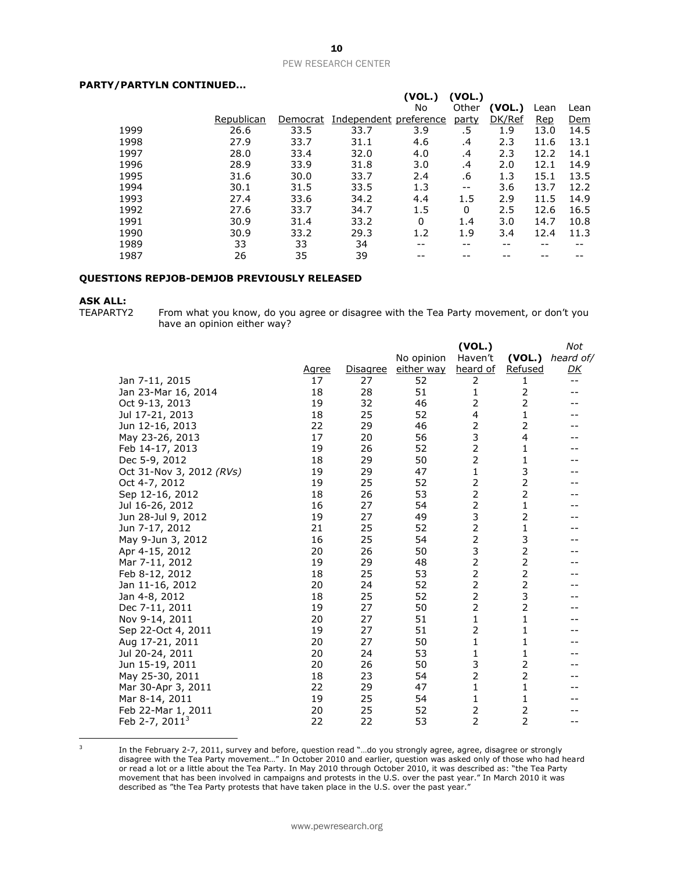#### **PARTY/PARTYLN CONTINUED...**

|            |          |      | (VOL.)   | (VOL.)                 |        |            |            |
|------------|----------|------|----------|------------------------|--------|------------|------------|
|            |          |      | No       | Other                  | (VOL.) | Lean       | Lean       |
| Republican | Democrat |      |          | party                  | DK/Ref | <b>Rep</b> | <u>Dem</u> |
| 26.6       | 33.5     | 33.7 | 3.9      | .5                     | 1.9    | 13.0       | 14.5       |
| 27.9       | 33.7     | 31.1 | 4.6      | .4                     | 2.3    | 11.6       | 13.1       |
| 28.0       | 33.4     | 32.0 | 4.0      | .4                     | 2.3    | 12.2       | 14.1       |
| 28.9       | 33.9     | 31.8 | 3.0      | .4                     | 2.0    | 12.1       | 14.9       |
| 31.6       | 30.0     | 33.7 | 2.4      | .6                     | 1.3    | 15.1       | 13.5       |
| 30.1       | 31.5     | 33.5 | 1.3      | $- -$                  | 3.6    | 13.7       | 12.2       |
| 27.4       | 33.6     | 34.2 | 4.4      | 1.5                    | 2.9    | 11.5       | 14.9       |
| 27.6       | 33.7     | 34.7 | 1.5      | 0                      | 2.5    | 12.6       | 16.5       |
| 30.9       | 31.4     | 33.2 | $\Omega$ | 1.4                    | 3.0    | 14.7       | 10.8       |
| 30.9       | 33.2     | 29.3 | 1.2      | 1.9                    | 3.4    | 12.4       | 11.3       |
| 33         | 33       | 34   | --       | --                     | --     | --         |            |
| 26         | 35       | 39   |          |                        |        |            |            |
|            |          |      |          | Independent preference |        |            |            |

#### **QUESTIONS REPJOB-DEMJOB PREVIOUSLY RELEASED**

## **ASK ALL:**<br>TEAPARTY2

From what you know, do you agree or disagree with the Tea Party movement, or don't you have an opinion either way?

|                          |              |                 |            | (VOL.)         |                         | Not       |
|--------------------------|--------------|-----------------|------------|----------------|-------------------------|-----------|
|                          |              |                 | No opinion | Haven't        | (VOL.)                  | heard of/ |
|                          | <u>Agree</u> | <u>Disagree</u> | either way | heard of       | <b>Refused</b>          | <u>DК</u> |
| Jan 7-11, 2015           | 17           | 27              | 52         | 2              | 1                       | $- -$     |
| Jan 23-Mar 16, 2014      | 18           | 28              | 51         | 1              | 2                       |           |
| Oct 9-13, 2013           | 19           | 32              | 46         | 2              | $\overline{2}$          |           |
| Jul 17-21, 2013          | 18           | 25              | 52         | 4              | 1                       |           |
| Jun 12-16, 2013          | 22           | 29              | 46         | 2              | 2                       |           |
| May 23-26, 2013          | 17           | 20              | 56         | 3              | $\overline{\mathbf{4}}$ |           |
| Feb 14-17, 2013          | 19           | 26              | 52         | $\overline{2}$ | 1                       |           |
| Dec 5-9, 2012            | 18           | 29              | 50         | $\overline{2}$ | $\mathbf{1}$            |           |
| Oct 31-Nov 3, 2012 (RVs) | 19           | 29              | 47         | 1              | 3                       |           |
| Oct 4-7, 2012            | 19           | 25              | 52         | 2              | $\overline{2}$          |           |
| Sep 12-16, 2012          | 18           | 26              | 53         | $\overline{2}$ | $\overline{2}$          |           |
| Jul 16-26, 2012          | 16           | 27              | 54         | 2              | 1                       |           |
| Jun 28-Jul 9, 2012       | 19           | 27              | 49         | 3              | $\overline{2}$          |           |
| Jun 7-17, 2012           | 21           | 25              | 52         | 2              | 1                       |           |
| May 9-Jun 3, 2012        | 16           | 25              | 54         | $\overline{2}$ | 3                       |           |
| Apr 4-15, 2012           | 20           | 26              | 50         | 3              | $\overline{2}$          |           |
| Mar 7-11, 2012           | 19           | 29              | 48         | $\overline{2}$ | $\overline{2}$          |           |
| Feb 8-12, 2012           | 18           | 25              | 53         | $\overline{2}$ | $\overline{c}$          |           |
| Jan 11-16, 2012          | 20           | 24              | 52         | 2              | $\overline{2}$          |           |
| Jan 4-8, 2012            | 18           | 25              | 52         | $\overline{2}$ | 3                       |           |
| Dec 7-11, 2011           | 19           | 27              | 50         | 2              | $\overline{2}$          |           |
| Nov 9-14, 2011           | 20           | 27              | 51         | 1              | 1                       |           |
| Sep 22-Oct 4, 2011       | 19           | 27              | 51         | $\overline{2}$ | 1                       |           |
| Aug 17-21, 2011          | 20           | 27              | 50         | 1              | $\mathbf{1}$            |           |
| Jul 20-24, 2011          | 20           | 24              | 53         | $\mathbf{1}$   | 1                       |           |
| Jun 15-19, 2011          | 20           | 26              | 50         | 3              | 2                       |           |
| May 25-30, 2011          | 18           | 23              | 54         | $\overline{2}$ | $\overline{2}$          |           |
| Mar 30-Apr 3, 2011       | 22           | 29              | 47         | 1              | 1                       |           |
| Mar 8-14, 2011           | 19           | 25              | 54         | 1              | 1                       |           |
| Feb 22-Mar 1, 2011       | 20           | 25              | 52         | 2              | $\overline{2}$          |           |
| Feb 2-7, $20113$         | 22           | 22              | 53         | 2              | 2                       |           |

 3

In the February 2-7, 2011, survey and before, question read "…do you strongly agree, agree, disagree or strongly disagree with the Tea Party movement…" In October 2010 and earlier, question was asked only of those who had heard or read a lot or a little about the Tea Party. In May 2010 through October 2010, it was described as: "the Tea Party movement that has been involved in campaigns and protests in the U.S. over the past year." In March 2010 it was described as "the Tea Party protests that have taken place in the U.S. over the past year."